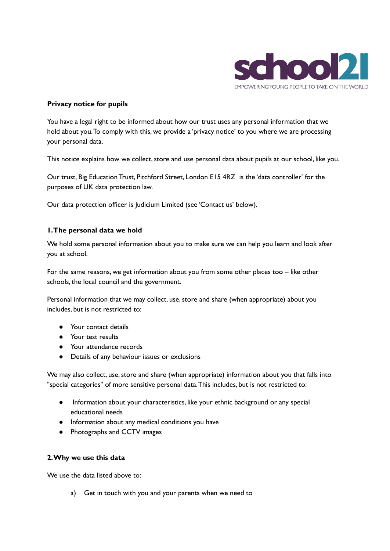

### **Privacy notice for pupils**

You have a legal right to be informed about how our trust uses any personal information that we hold about you.To comply with this, we provide a 'privacy notice' to you where we are processing your personal data.

This notice explains how we collect, store and use personal data about pupils at our school, like you.

Our trust, Big Education Trust, Pitchford Street, London E15 4RZ is the 'data controller' for the purposes of UK data protection law.

Our data protection officer is Judicium Limited (see 'Contact us' below).

#### **1.The personal data we hold**

We hold some personal information about you to make sure we can help you learn and look after you at school.

For the same reasons, we get information about you from some other places too – like other schools, the local council and the government.

Personal information that we may collect, use, store and share (when appropriate) about you includes, but is not restricted to:

- Your contact details
- Your test results
- Your attendance records
- Details of any behaviour issues or exclusions

We may also collect, use, store and share (when appropriate) information about you that falls into "special categories" of more sensitive personal data.This includes, but is not restricted to:

- Information about your characteristics, like your ethnic background or any special educational needs
- Information about any medical conditions you have
- Photographs and CCTV images

#### **2.Why we use this data**

We use the data listed above to:

a) Get in touch with you and your parents when we need to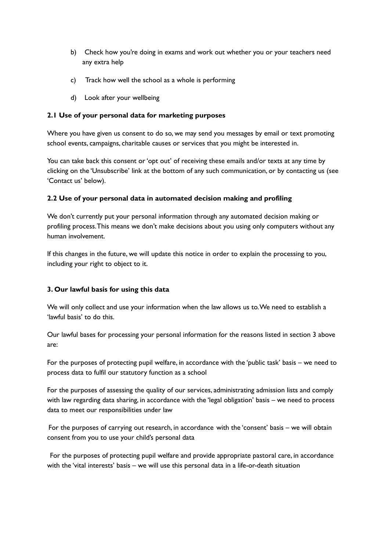- b) Check how you're doing in exams and work out whether you or your teachers need any extra help
- c) Track how well the school as a whole is performing
- d) Look after your wellbeing

# **2.1 Use of your personal data for marketing purposes**

Where you have given us consent to do so, we may send you messages by email or text promoting school events, campaigns, charitable causes or services that you might be interested in.

You can take back this consent or'opt out' of receiving these emails and/or texts at any time by clicking on the 'Unsubscribe' link at the bottom of any such communication, or by contacting us (see 'Contact us' below).

# **2.2 Use of your personal data in automated decision making and profiling**

We don't currently put your personal information through any automated decision making or profiling process.This means we don't make decisions about you using only computers without any human involvement.

If this changes in the future, we will update this notice in order to explain the processing to you, including your right to object to it.

# **3. Our lawful basis for using this data**

We will only collect and use your information when the law allows us to.We need to establish a 'lawful basis' to do this.

Our lawful bases for processing your personal information for the reasons listed in section 3 above are:

For the purposes of protecting pupil welfare, in accordance with the 'public task' basis – we need to process data to fulfil our statutory function as a school

For the purposes of assessing the quality of our services, administrating admission lists and comply with law regarding data sharing, in accordance with the 'legal obligation' basis – we need to process data to meet our responsibilities under law

For the purposes of carrying out research, in accordance with the 'consent' basis – we will obtain consent from you to use your child's personal data

For the purposes of protecting pupil welfare and provide appropriate pastoral care, in accordance with the 'vital interests' basis – we will use this personal data in a life-or-death situation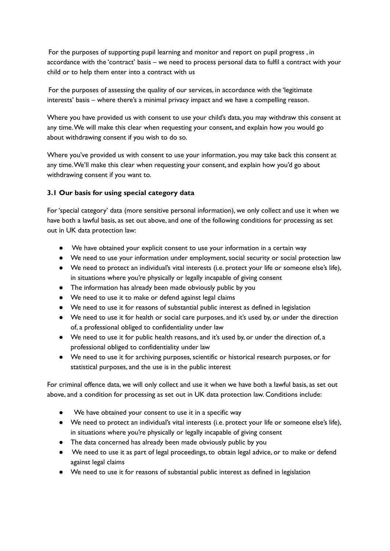For the purposes of supporting pupil learning and monitor and report on pupil progress , in accordance with the 'contract' basis – we need to process personal data to fulfil a contract with your child or to help them enter into a contract with us

For the purposes of assessing the quality of our services, in accordance with the 'legitimate interests' basis – where there's a minimal privacy impact and we have a compelling reason.

Where you have provided us with consent to use your child's data, you may withdraw this consent at any time.We will make this clear when requesting your consent, and explain how you would go about withdrawing consent if you wish to do so.

Where you've provided us with consent to use your information, you may take back this consent at any time.We'll make this clear when requesting your consent, and explain how you'd go about withdrawing consent if you want to.

### **3.1 Our basis for using special category data**

For'special category' data (more sensitive personal information), we only collect and use it when we have both a lawful basis, as set out above, and one of the following conditions for processing as set out in UK data protection law:

- We have obtained your explicit consent to use your information in a certain way
- We need to use your information under employment, social security or social protection law
- We need to protect an individual's vital interests (i.e. protect your life or someone else's life), in situations where you're physically or legally incapable of giving consent
- The information has already been made obviously public by you
- We need to use it to make or defend against legal claims
- We need to use it for reasons of substantial public interest as defined in legislation
- We need to use it for health or social care purposes, and it's used by, or under the direction of, a professional obliged to confidentiality under law
- We need to use it for public health reasons, and it's used by, or under the direction of, a professional obliged to confidentiality under law
- We need to use it for archiving purposes, scientific or historical research purposes, or for statistical purposes, and the use is in the public interest

For criminal offence data, we will only collect and use it when we have both a lawful basis, as set out above, and a condition for processing as set out in UK data protection law. Conditions include:

- We have obtained your consent to use it in a specific way
- We need to protect an individual's vital interests (i.e. protect your life or someone else's life), in situations where you're physically or legally incapable of giving consent
- The data concerned has already been made obviously public by you
- We need to use it as part of legal proceedings, to obtain legal advice, or to make or defend against legal claims
- We need to use it for reasons of substantial public interest as defined in legislation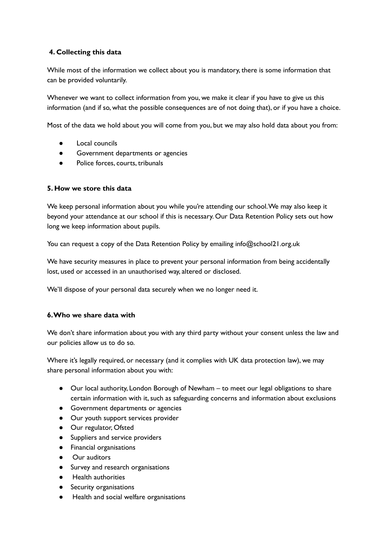# **4. Collecting this data**

While most of the information we collect about you is mandatory, there is some information that can be provided voluntarily.

Whenever we want to collect information from you, we make it clear if you have to give us this information (and if so, what the possible consequences are of not doing that), or if you have a choice.

Most of the data we hold about you will come from you, but we may also hold data about you from:

- Local councils
- Government departments or agencies
- Police forces, courts, tribunals

### **5. How we store this data**

We keep personal information about you while you're attending our school. We may also keep it beyond your attendance at our school if this is necessary. Our Data Retention Policy sets out how long we keep information about pupils.

You can request a copy of the Data Retention Policy by emailing info@school21.org.uk

We have security measures in place to prevent your personal information from being accidentally lost, used or accessed in an unauthorised way, altered or disclosed.

We'll dispose of your personal data securely when we no longer need it.

### **6.Who we share data with**

We don't share information about you with any third party without your consent unless the law and our policies allow us to do so.

Where it's legally required, or necessary (and it complies with UK data protection law), we may share personal information about you with:

- Our local authority, London Borough of Newham to meet our legal obligations to share certain information with it, such as safeguarding concerns and information about exclusions
- Government departments or agencies
- Our youth support services provider
- Our regulator, Ofsted
- Suppliers and service providers
- Financial organisations
- **Our auditors**
- Survey and research organisations
- **Health authorities**
- Security organisations
- Health and social welfare organisations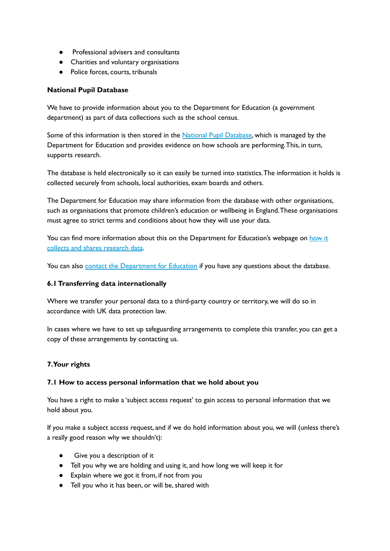- Professional advisers and consultants
- Charities and voluntary organisations
- Police forces, courts, tribunals

## **National Pupil Database**

We have to provide information about you to the Department for Education (a government department) as part of data collections such as the school census.

Some of this information is then stored in the National Pupil [Database](https://www.gov.uk/government/collections/national-pupil-database), which is managed by the Department for Education and provides evidence on how schools are performing.This, in turn, supports research.

The database is held electronically so it can easily be turned into statistics.The information it holds is collected securely from schools, local authorities, exam boards and others.

The Department for Education may share information from the database with other organisations, such as organisations that promote children's education or wellbeing in England.These organisations must agree to strict terms and conditions about how they will use your data.

You can find more information about this on the Department for Education's webpage on [how](https://www.gov.uk/data-protection-how-we-collect-and-share-research-data) it collects and shares [research](https://www.gov.uk/data-protection-how-we-collect-and-share-research-data) data.

You can also contact the [Department](https://www.gov.uk/contact-dfe) for Education if you have any questions about the database.

### **6.1Transferring data internationally**

Where we transfer your personal data to a third-party country or territory, we will do so in accordance with UK data protection law.

In cases where we have to set up safeguarding arrangements to complete this transfer, you can get a copy of these arrangements by contacting us.

### **7.Your rights**

### **7.1 How to access personal information that we hold about you**

You have a right to make a 'subject access request' to gain access to personal information that we hold about you.

If you make a subject access request, and if we do hold information about you, we will (unless there's a really good reason why we shouldn't):

- Give you a description of it
- Tell you why we are holding and using it, and how long we will keep it for
- Explain where we got it from, if not from you
- Tell you who it has been, or will be,shared with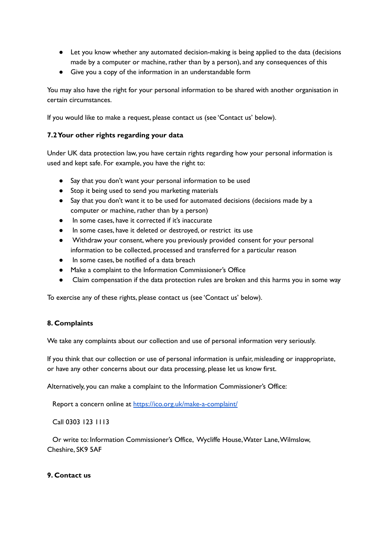- Let you know whether any automated decision-making is being applied to the data (decisions made by a computer or machine, rather than by a person), and any consequences of this
- Give you a copy of the information in an understandable form

You may also have the right for your personal information to be shared with another organisation in certain circumstances.

If you would like to make a request, please contact us (see 'Contact us' below).

### **7.2Your other rights regarding your data**

Under UK data protection law, you have certain rights regarding how your personal information is used and kept safe. For example, you have the right to:

- Say that you don't want your personal information to be used
- Stop it being used to send you marketing materials
- Say that you don't want it to be used for automated decisions (decisions made by a computer or machine, rather than by a person)
- In some cases, have it corrected if it's inaccurate
- In some cases, have it deleted or destroyed, or restrict its use
- Withdraw your consent, where you previously provided consent for your personal information to be collected, processed and transferred for a particular reason
- In some cases, be notified of a data breach
- Make a complaint to the Information Commissioner's Office
- Claim compensation if the data protection rules are broken and this harms you in some way

To exercise any of these rights, please contact us (see 'Contact us' below).

#### **8. Complaints**

We take any complaints about our collection and use of personal information very seriously.

If you think that our collection or use of personal information is unfair, misleading or inappropriate, or have any other concerns about our data processing, please let us know first.

Alternatively, you can make a complaint to the Information Commissioner's Office:

Report a concern online at <https://ico.org.uk/make-a-complaint/>

Call 0303 123 1113

Or write to: Information Commissioner's Office, Wycliffe House,Water Lane,Wilmslow, Cheshire, SK9 5AF

#### **9. Contact us**